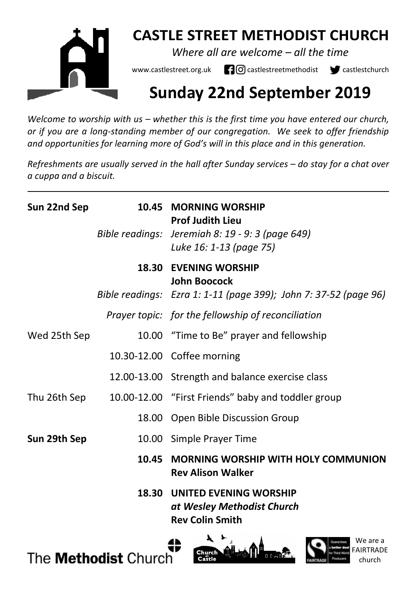

# **CASTLE STREET METHODIST CHURCH**

*Where all are welcome – all the time* 

www.castlestreet.org.uk  $\Box$   $\Box$  castlestreetmethodist  $\Box$  castlestchurch

# **Sunday 22nd September 2019**

*Welcome to worship with us – whether this is the first time you have entered our church, or if you are a long-standing member of our congregation. We seek to offer friendship and opportunities for learning more of God's will in this place and in this generation.* 

*Refreshments are usually served in the hall after Sunday services – do stay for a chat over a cuppa and a biscuit.*

| Sun 22nd Sep | 10.45 | <b>MORNING WORSHIP</b><br><b>Prof Judith Lieu</b>                                           |
|--------------|-------|---------------------------------------------------------------------------------------------|
|              |       | Bible readings: Jeremiah 8: 19 - 9: 3 (page 649)<br>Luke 16: 1-13 (page 75)                 |
|              |       | 18.30 EVENING WORSHIP<br><b>John Boocock</b>                                                |
|              |       | Bible readings: Ezra 1: 1-11 (page 399); John 7: 37-52 (page 96)                            |
|              |       | Prayer topic: for the fellowship of reconciliation                                          |
| Wed 25th Sep |       | 10.00 "Time to Be" prayer and fellowship                                                    |
|              |       | 10.30-12.00 Coffee morning                                                                  |
|              |       | 12.00-13.00 Strength and balance exercise class                                             |
|              |       | Thu 26th Sep 10.00-12.00 "First Friends" baby and toddler group                             |
|              |       | 18.00 Open Bible Discussion Group                                                           |
| Sun 29th Sep |       | 10.00 Simple Prayer Time                                                                    |
|              | 10.45 | <b>MORNING WORSHIP WITH HOLY COMMUNION</b><br><b>Rev Alison Walker</b>                      |
|              |       | <b>18.30 UNITED EVENING WORSHIP</b><br>at Wesley Methodist Church<br><b>Rev Colin Smith</b> |

The **Methodist** Church





We are a

church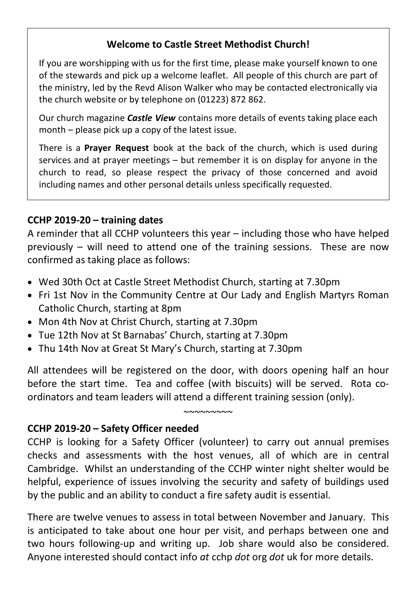## **Welcome to Castle Street Methodist Church!**

If you are worshipping with us for the first time, please make yourself known to one of the stewards and pick up a welcome leaflet. All people of this church are part of the ministry, led by the Revd Alison Walker who may be contacted electronically via the church website or by telephone on (01223) 872 862.

Our church magazine *Castle View* contains more details of events taking place each month – please pick up a copy of the latest issue.

There is a **Prayer Request** book at the back of the church, which is used during services and at prayer meetings – but remember it is on display for anyone in the church to read, so please respect the privacy of those concerned and avoid including names and other personal details unless specifically requested.

### **CCHP 2019-20 – training dates**

A reminder that all CCHP volunteers this year – including those who have helped previously – will need to attend one of the training sessions. These are now confirmed as taking place as follows:

- Wed 30th Oct at Castle Street Methodist Church, starting at 7.30pm
- Fri 1st Nov in the Community Centre at Our Lady and English Martyrs Roman Catholic Church, starting at 8pm
- Mon 4th Nov at Christ Church, starting at 7.30pm
- Tue 12th Nov at St Barnabas' Church, starting at 7.30pm
- Thu 14th Nov at Great St Mary's Church, starting at 7.30pm

All attendees will be registered on the door, with doors opening half an hour before the start time. Tea and coffee (with biscuits) will be served. Rota coordinators and team leaders will attend a different training session (only).

#### $~\sim$ ~~~~~~~

### **CCHP 2019-20 – Safety Officer needed**

CCHP is looking for a Safety Officer (volunteer) to carry out annual premises checks and assessments with the host venues, all of which are in central Cambridge. Whilst an understanding of the CCHP winter night shelter would be helpful, experience of issues involving the security and safety of buildings used by the public and an ability to conduct a fire safety audit is essential.

There are twelve venues to assess in total between November and January. This is anticipated to take about one hour per visit, and perhaps between one and two hours following-up and writing up. Job share would also be considered. Anyone interested should contact info *at* cchp *dot* org *dot* uk for more details.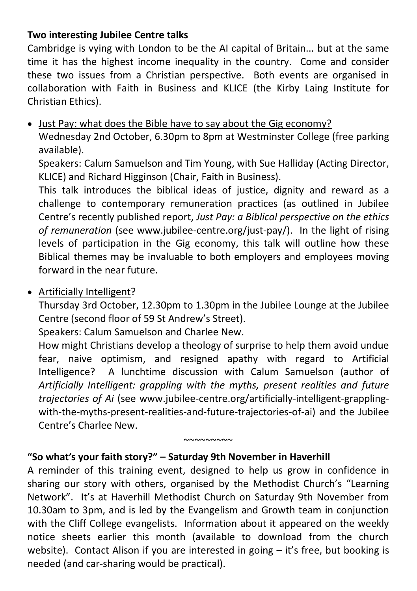#### **Two interesting Jubilee Centre talks**

Cambridge is vying with London to be the AI capital of Britain... but at the same time it has the highest income inequality in the country. Come and consider these two issues from a Christian perspective. Both events are organised in collaboration with Faith in Business and KLICE (the Kirby Laing Institute for Christian Ethics).

• Just Pay: what does the Bible have to say about the Gig economy?

Wednesday 2nd October, 6.30pm to 8pm at Westminster College (free parking available).

Speakers: Calum Samuelson and Tim Young, with Sue Halliday (Acting Director, KLICE) and Richard Higginson (Chair, Faith in Business).

This talk introduces the biblical ideas of justice, dignity and reward as a challenge to contemporary remuneration practices (as outlined in Jubilee Centre's recently published report, *Just Pay: a Biblical perspective on the ethics of remuneration* (see www.jubilee-centre.org/just-pay/). In the light of rising levels of participation in the Gig economy, this talk will outline how these Biblical themes may be invaluable to both employers and employees moving forward in the near future.

• Artificially Intelligent?

Thursday 3rd October, 12.30pm to 1.30pm in the Jubilee Lounge at the Jubilee Centre (second floor of 59 St Andrew's Street).

Speakers: Calum Samuelson and Charlee New.

How might Christians develop a theology of surprise to help them avoid undue fear, naive optimism, and resigned apathy with regard to Artificial Intelligence? A lunchtime discussion with Calum Samuelson (author of *Artificially Intelligent: grappling with the myths, present realities and future trajectories of Ai* (see www.jubilee-centre.org/artificially-intelligent-grapplingwith-the-myths-present-realities-and-future-trajectories-of-ai) and the Jubilee Centre's Charlee New.

#### **"So what's your faith story?" – Saturday 9th November in Haverhill**

A reminder of this training event, designed to help us grow in confidence in sharing our story with others, organised by the Methodist Church's "Learning Network". It's at Haverhill Methodist Church on Saturday 9th November from 10.30am to 3pm, and is led by the Evangelism and Growth team in conjunction with the Cliff College evangelists. Information about it appeared on the weekly notice sheets earlier this month (available to download from the church website). Contact Alison if you are interested in going – it's free, but booking is needed (and car-sharing would be practical).

 $~\sim$  $\sim$  $\sim$  $\sim$  $\sim$  $\sim$